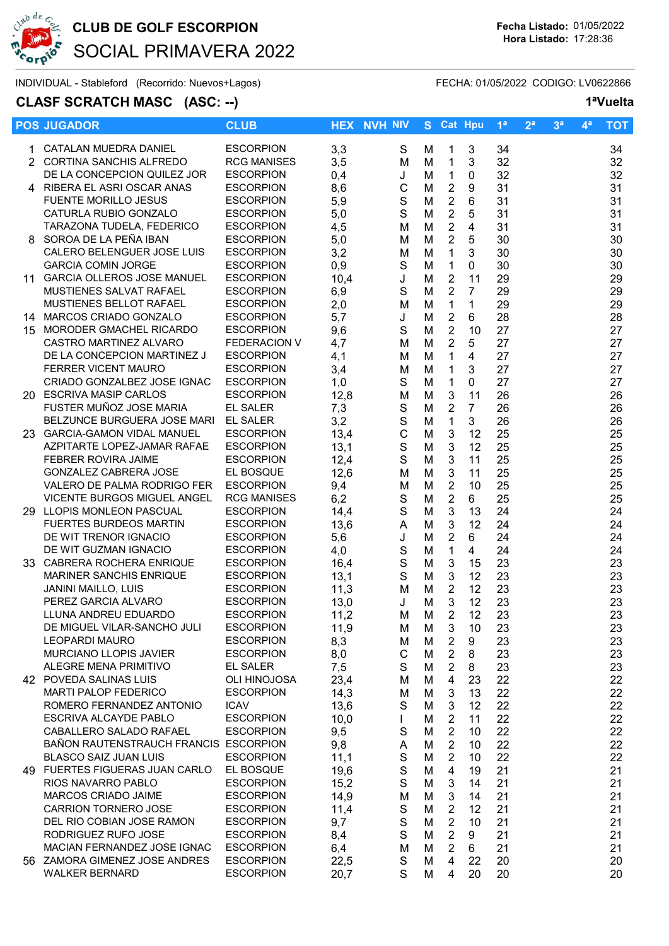

## CLUB DE GOLF ESCORPION Fecha Listado: 01/05/2022 SOCIAL PRIMAVERA 2022

INDIVIDUAL - Stableford (Recorrido: Nuevos+Lagos) FECHA: 01/05/2022 CODIGO: LV0622866

### CLASF SCRATCH MASC (ASC: --) 1<sup>a</sup>Vuelta

|    | <b>POS JUGADOR</b>                                     | <b>CLUB</b>                          |            | <b>HEX NVH NIV</b> |        | S Cat Hpu                      |                | 1 <sup>a</sup> | 2 <sup>a</sup> | 3 <sup>a</sup> | $\mathbf{4}^{\mathsf{a}}$ | <b>TOT</b> |
|----|--------------------------------------------------------|--------------------------------------|------------|--------------------|--------|--------------------------------|----------------|----------------|----------------|----------------|---------------------------|------------|
|    | 1 CATALAN MUEDRA DANIEL                                | <b>ESCORPION</b>                     | 3,3        | S                  | м      | $\mathbf{1}$                   | 3              | 34             |                |                |                           | 34         |
|    | 2 CORTINA SANCHIS ALFREDO                              | <b>RCG MANISES</b>                   | 3,5        | M                  | M      | $\mathbf 1$                    | 3              | 32             |                |                |                           | 32         |
|    | DE LA CONCEPCION QUILEZ JOR                            | <b>ESCORPION</b>                     | 0,4        | J                  | M      | $\mathbf{1}$                   | $\mathbf 0$    | 32             |                |                |                           | 32         |
|    | 4 RIBERA EL ASRI OSCAR ANAS                            | <b>ESCORPION</b>                     | 8,6        | $\mathsf C$        | M      | $\overline{2}$                 | 9              | 31             |                |                |                           | 31         |
|    | <b>FUENTE MORILLO JESUS</b>                            | <b>ESCORPION</b>                     | 5,9        | $\mathsf S$        | M      | $\boldsymbol{2}$               | 6              | 31             |                |                |                           | 31         |
|    | CATURLA RUBIO GONZALO                                  | <b>ESCORPION</b>                     | 5,0        | S                  | M      | $\overline{2}$                 | 5              | 31             |                |                |                           | 31         |
|    | TARAZONA TUDELA, FEDERICO                              | <b>ESCORPION</b>                     | 4,5        | M                  | M      | $\boldsymbol{2}$               | 4              | 31             |                |                |                           | 31         |
|    | 8 SOROA DE LA PEÑA IBAN                                | <b>ESCORPION</b>                     | 5,0        | M                  | M      | $\overline{2}$                 | 5              | 30             |                |                |                           | 30         |
|    | CALERO BELENGUER JOSE LUIS                             | <b>ESCORPION</b>                     | 3,2        | M                  | M      | $\mathbf{1}$                   | 3              | 30             |                |                |                           | 30         |
|    | <b>GARCIA COMIN JORGE</b>                              | <b>ESCORPION</b>                     | 0,9        | S                  | M      | $\mathbf{1}$                   | $\mathbf 0$    | 30             |                |                |                           | 30         |
|    | 11 GARCIA OLLEROS JOSE MANUEL                          | <b>ESCORPION</b>                     | 10,4       | J                  | M      | $\overline{2}$                 | 11             | 29             |                |                |                           | 29         |
|    | MUSTIENES SALVAT RAFAEL                                | <b>ESCORPION</b>                     | 6,9        | S                  | M      | $\overline{2}$                 | $\overline{7}$ | 29             |                |                |                           | 29         |
|    | MUSTIENES BELLOT RAFAEL                                | <b>ESCORPION</b>                     | 2,0        | M                  | M      | $\mathbf{1}$                   | 1              | 29             |                |                |                           | 29         |
|    | 14 MARCOS CRIADO GONZALO                               | <b>ESCORPION</b>                     | 5,7        | J                  | M      | $\overline{2}$                 | 6              | 28             |                |                |                           | 28         |
| 15 | MORODER GMACHEL RICARDO                                | <b>ESCORPION</b>                     | 9,6        | $\mathbf S$        | M      | $\overline{2}$                 | 10             | 27             |                |                |                           | 27         |
|    | CASTRO MARTINEZ ALVARO                                 | <b>FEDERACION V</b>                  | 4,7        | M                  | M      | $\overline{2}$                 | 5              | 27             |                |                |                           | 27         |
|    | DE LA CONCEPCION MARTINEZ J                            | <b>ESCORPION</b>                     | 4,1        | M                  | M      | $\mathbf{1}$                   | $\overline{4}$ | 27             |                |                |                           | 27         |
|    | FERRER VICENT MAURO                                    | <b>ESCORPION</b>                     | 3,4        | M                  | M      | $\mathbf{1}$                   | 3              | 27             |                |                |                           | 27         |
|    | CRIADO GONZALBEZ JOSE IGNAC                            | <b>ESCORPION</b>                     | 1,0        | S                  | M      | $\mathbf{1}$                   | $\mathbf 0$    | 27             |                |                |                           | 27         |
|    | 20 ESCRIVA MASIP CARLOS                                | <b>ESCORPION</b>                     | 12,8       | M                  | M      | $\mathbf{3}$                   | 11             | 26             |                |                |                           | 26         |
|    | FUSTER MUÑOZ JOSE MARIA                                | <b>EL SALER</b>                      | 7,3        | S                  | M      | $\overline{2}$                 | $\overline{7}$ | 26             |                |                |                           | 26         |
|    | BELZUNCE BURGUERA JOSE MARI EL SALER                   |                                      | 3,2        | $\mathbf S$        | M      | $\mathbf{1}$                   | 3              | 26             |                |                |                           | 26         |
|    | 23 GARCIA-GAMON VIDAL MANUEL                           | <b>ESCORPION</b>                     | 13,4       | $\mathsf C$        | M      | $\mathbf{3}$                   | 12             | 25             |                |                |                           | 25         |
|    | AZPITARTE LOPEZ-JAMAR RAFAE                            | <b>ESCORPION</b>                     | 13,1       | $\mathbf S$        | M      | 3                              | 12             | 25             |                |                |                           | 25         |
|    | FEBRER ROVIRA JAIME                                    | <b>ESCORPION</b>                     | 12,4       | S                  | M      | 3                              | 11             | 25             |                |                |                           | 25         |
|    | GONZALEZ CABRERA JOSE                                  | EL BOSQUE                            | 12,6       | M                  | M      | 3                              | 11             | 25             |                |                |                           | 25         |
|    | VALERO DE PALMA RODRIGO FER                            | <b>ESCORPION</b>                     | 9,4        | M                  | M      | $\overline{2}$                 | 10             | 25             |                |                |                           | 25         |
|    | <b>VICENTE BURGOS MIGUEL ANGEL</b>                     | <b>RCG MANISES</b>                   | 6,2        | $\mathbf S$        | M      | $\overline{2}$                 | 6              | 25             |                |                |                           | 25         |
|    | 29 LLOPIS MONLEON PASCUAL                              | <b>ESCORPION</b>                     | 14,4       | S                  | M      | 3                              | 13             | 24             |                |                |                           | 24         |
|    | <b>FUERTES BURDEOS MARTIN</b><br>DE WIT TRENOR IGNACIO | <b>ESCORPION</b><br><b>ESCORPION</b> | 13,6       | A                  | M      | $\mathbf{3}$<br>$\overline{2}$ | 12<br>6        | 24<br>24       |                |                |                           | 24         |
|    | DE WIT GUZMAN IGNACIO                                  | <b>ESCORPION</b>                     | 5,6<br>4,0 | J<br>${\mathbb S}$ | M<br>M | $\mathbf{1}$                   | $\overline{4}$ | 24             |                |                |                           | 24<br>24   |
|    | 33 CABRERA ROCHERA ENRIQUE                             | <b>ESCORPION</b>                     | 16,4       | $\mathbf S$        | M      | $\ensuremath{\mathsf{3}}$      | 15             | 23             |                |                |                           | 23         |
|    | <b>MARINER SANCHIS ENRIQUE</b>                         | <b>ESCORPION</b>                     | 13,1       | $\mathbf S$        | M      | $\mathbf{3}$                   | 12             | 23             |                |                |                           | 23         |
|    | JANINI MAILLO, LUIS                                    | <b>ESCORPION</b>                     | 11,3       | M                  | M      | $\overline{2}$                 | 12             | 23             |                |                |                           | 23         |
|    | PEREZ GARCIA ALVARO                                    | <b>ESCORPION</b>                     | 13,0       | J                  | M      | 3                              | 12             | 23             |                |                |                           | 23         |
|    | LLUNA ANDREU EDUARDO                                   | <b>ESCORPION</b>                     | 11,2       | M                  | М      | 2                              | 12             | 23             |                |                |                           | 23         |
|    | DE MIGUEL VILAR-SANCHO JULI                            | <b>ESCORPION</b>                     | 11,9       | м                  | M      | 3                              | 10             | 23             |                |                |                           | 23         |
|    | <b>LEOPARDI MAURO</b>                                  | <b>ESCORPION</b>                     | 8,3        | M                  | M      | 2                              | 9              | 23             |                |                |                           | 23         |
|    | MURCIANO LLOPIS JAVIER                                 | <b>ESCORPION</b>                     | 8,0        | $\mathsf{C}$       | M      | 2                              | 8              | 23             |                |                |                           | 23         |
|    | ALEGRE MENA PRIMITIVO                                  | EL SALER                             | 7,5        | S                  | M      | $\overline{2}$                 | 8              | 23             |                |                |                           | 23         |
|    | 42 POVEDA SALINAS LUIS                                 | OLI HINOJOSA                         | 23,4       | м                  | M      | 4                              | 23             | 22             |                |                |                           | 22         |
|    | <b>MARTI PALOP FEDERICO</b>                            | <b>ESCORPION</b>                     | 14,3       | M                  | M      | 3                              | 13             | 22             |                |                |                           | 22         |
|    | ROMERO FERNANDEZ ANTONIO                               | <b>ICAV</b>                          | 13,6       | S                  | M      | $\mathbf{3}$                   | 12             | 22             |                |                |                           | 22         |
|    | ESCRIVA ALCAYDE PABLO                                  | <b>ESCORPION</b>                     | 10,0       | $\mathbf{L}$       | M      | $\overline{2}$                 | 11             | 22             |                |                |                           | 22         |
|    | CABALLERO SALADO RAFAEL                                | <b>ESCORPION</b>                     | 9,5        | $\mathbf S$        | M      | $\overline{2}$                 | 10             | 22             |                |                |                           | 22         |
|    | BAÑON RAUTENSTRAUCH FRANCIS ESCORPION                  |                                      | 9,8        | A                  | M      | $\overline{2}$                 | 10             | 22             |                |                |                           | 22         |
|    | <b>BLASCO SAIZ JUAN LUIS</b>                           | <b>ESCORPION</b>                     | 11,1       | $\mathsf S$        | M      | $\overline{2}$                 | 10             | 22             |                |                |                           | 22         |
|    | 49 FUERTES FIGUERAS JUAN CARLO                         | EL BOSQUE                            | 19,6       | $\mathsf S$        | M      | 4                              | 19             | 21             |                |                |                           | 21         |
|    | RIOS NAVARRO PABLO                                     | <b>ESCORPION</b>                     | 15,2       | S                  | M      | 3                              | 14             | 21             |                |                |                           | 21         |
|    | MARCOS CRIADO JAIME                                    | <b>ESCORPION</b>                     | 14,9       | M                  | M      | 3                              | 14             | 21             |                |                |                           | 21         |
|    | CARRION TORNERO JOSE                                   | <b>ESCORPION</b>                     | 11,4       | S                  | M      | 2                              | 12             | 21             |                |                |                           | 21         |
|    | DEL RIO COBIAN JOSE RAMON                              | <b>ESCORPION</b>                     | 9,7        | $\mathsf S$        | M      | $\overline{2}$                 | 10             | 21             |                |                |                           | 21         |
|    | RODRIGUEZ RUFO JOSE                                    | <b>ESCORPION</b>                     | 8,4        | $\mathbf S$        | M      | $\overline{2}$                 | 9              | 21             |                |                |                           | 21         |
|    | MACIAN FERNANDEZ JOSE IGNAC                            | <b>ESCORPION</b>                     | 6,4        | M                  | M      | $\overline{2}$                 | 6              | 21             |                |                |                           | 21         |
|    | 56 ZAMORA GIMENEZ JOSE ANDRES                          | <b>ESCORPION</b>                     | 22,5       | S                  | M      | $\overline{4}$                 | 22             | 20             |                |                |                           | 20         |
|    | <b>WALKER BERNARD</b>                                  | <b>ESCORPION</b>                     | 20,7       | S                  | M      | 4                              | 20             | 20             |                |                |                           | 20         |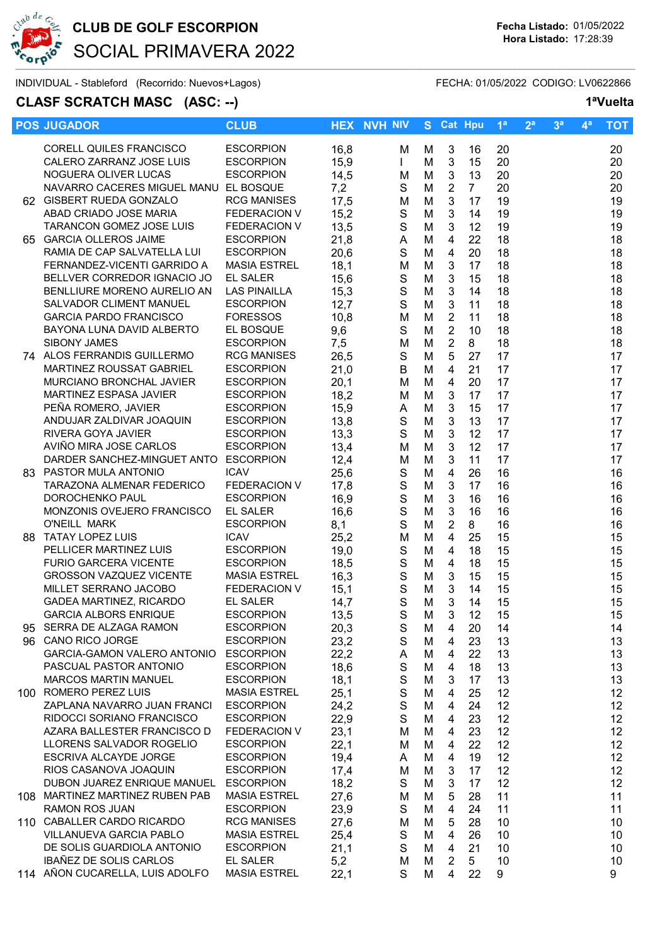

## CLUB DE GOLF ESCORPION Fecha Listado: 01/05/2022 SOCIAL PRIMAVERA 2022

INDIVIDUAL - Stableford (Recorrido: Nuevos+Lagos) FECHA: 01/05/2022 CODIGO: LV0622866

### CLASF SCRATCH MASC (ASC: --) 1<sup>a</sup>Vuelta

|      | <b>POS JUGADOR</b>                                   | <b>CLUB</b>         |              | <b>HEX NVH NIV</b> |                  |        | S Cat Hpu      |                | 1 <sup>a</sup> | 2 <sup>a</sup> | 3 <sup>a</sup> | 4 <sup>a</sup> | <b>TOT</b>       |
|------|------------------------------------------------------|---------------------|--------------|--------------------|------------------|--------|----------------|----------------|----------------|----------------|----------------|----------------|------------------|
|      | CORELL QUILES FRANCISCO                              | <b>ESCORPION</b>    | 16,8         |                    | м                | M      | 3              | 16             | 20             |                |                |                | 20               |
|      | CALERO ZARRANZ JOSE LUIS                             | <b>ESCORPION</b>    | 15,9         |                    | $\mathbf{L}$     | М      | $\mathbf{3}$   | 15             | 20             |                |                |                | 20               |
|      | NOGUERA OLIVER LUCAS                                 | <b>ESCORPION</b>    | 14,5         |                    | M                | M      | 3              | 13             | 20             |                |                |                | 20               |
|      | NAVARRO CACERES MIGUEL MANU EL BOSQUE                |                     | 7,2          |                    | S                | M      | $\overline{2}$ | 7 <sup>7</sup> | 20             |                |                |                | 20               |
|      | 62 GISBERT RUEDA GONZALO                             | <b>RCG MANISES</b>  | 17,5         |                    | M                | M      | $\mathbf{3}$   | 17             | 19             |                |                |                | 19               |
|      | ABAD CRIADO JOSE MARIA                               | FEDERACION V        | 15,2         |                    | ${\mathsf S}$    | M      | $\mathbf{3}$   | 14             | 19             |                |                |                | 19               |
|      | TARANCON GOMEZ JOSE LUIS                             | FEDERACION V        | 13,5         |                    | ${\mathsf S}$    | M      | 3              | 12             | 19             |                |                |                | 19               |
|      | 65 GARCIA OLLEROS JAIME                              | <b>ESCORPION</b>    | 21,8         |                    | A                | M      | $\overline{4}$ | 22             | 18             |                |                |                | 18               |
|      | RAMIA DE CAP SALVATELLA LUI                          | <b>ESCORPION</b>    | 20,6         |                    | S                | M      | $\overline{4}$ | 20             | 18             |                |                |                | 18               |
|      | FERNANDEZ-VICENTI GARRIDO A                          | <b>MASIA ESTREL</b> | 18,1         |                    | M                | M      | $\mathbf{3}$   | 17             | 18             |                |                |                | 18               |
|      | BELLVER CORREDOR IGNACIO JO                          | EL SALER            | 15,6         |                    | S                | M      | $\mathbf{3}$   | 15             | 18             |                |                |                | 18               |
|      | BENLLIURE MORENO AURELIO AN                          | <b>LAS PINAILLA</b> | 15,3         |                    | $\mathsf S$      | M      | $\mathbf{3}$   | 14             | 18             |                |                |                | 18               |
|      | SALVADOR CLIMENT MANUEL                              | <b>ESCORPION</b>    | 12,7         |                    | $\mathbf S$      | M      | $\mathfrak{S}$ | 11             | 18             |                |                |                | 18               |
|      | <b>GARCIA PARDO FRANCISCO</b>                        | <b>FORESSOS</b>     | 10,8         |                    | M                | M      | $\overline{2}$ | 11             | 18             |                |                |                | 18               |
|      | BAYONA LUNA DAVID ALBERTO                            | EL BOSQUE           | 9,6          |                    | S                | M      | $\overline{2}$ | 10             | 18             |                |                |                | 18               |
|      | <b>SIBONY JAMES</b>                                  | <b>ESCORPION</b>    | 7,5          |                    | M                | M      | $\overline{2}$ | 8              | 18             |                |                |                | 18               |
|      | 74 ALOS FERRANDIS GUILLERMO                          | <b>RCG MANISES</b>  | 26,5         |                    | ${\mathsf S}$    | M      | 5              | 27             | 17             |                |                |                | 17               |
|      | MARTINEZ ROUSSAT GABRIEL                             | <b>ESCORPION</b>    | 21,0         |                    | B                | M      | $\overline{4}$ | 21             | 17             |                |                |                | 17               |
|      | MURCIANO BRONCHAL JAVIER                             | <b>ESCORPION</b>    | 20,1         |                    | M                | M      | $\overline{4}$ | 20             | 17             |                |                |                | 17               |
|      | MARTINEZ ESPASA JAVIER                               | <b>ESCORPION</b>    | 18,2         |                    | M                | M      | $\mathfrak{S}$ | 17             | 17             |                |                |                | 17               |
|      | PEÑA ROMERO, JAVIER                                  | <b>ESCORPION</b>    | 15,9         |                    | A                | M      | $\mathbf{3}$   | 15             | 17             |                |                |                | 17               |
|      | ANDUJAR ZALDIVAR JOAQUIN                             | <b>ESCORPION</b>    | 13,8         |                    | $\mathbf S$      | M      | $\mathbf{3}$   | 13             | 17             |                |                |                | 17               |
|      | RIVERA GOYA JAVIER                                   | <b>ESCORPION</b>    | 13,3         |                    | $\mathbf S$      | M      | $\mathbf{3}$   | 12             | 17             |                |                |                | 17               |
|      | AVIÑO MIRA JOSE CARLOS                               | <b>ESCORPION</b>    | 13,4         |                    | M                | M      | 3              | 12             | 17             |                |                |                | 17               |
|      | DARDER SANCHEZ-MINGUET ANTO ESCORPION                |                     | 12,4         |                    | M                | M      | 3              | 11             | 17             |                |                |                | 17               |
|      | 83 PASTOR MULA ANTONIO                               | <b>ICAV</b>         | 25,6         |                    | $\mathbf S$      | M      | $\overline{4}$ | 26             | 16             |                |                |                | 16               |
|      | TARAZONA ALMENAR FEDERICO                            | <b>FEDERACION V</b> | 17,8         |                    | ${\mathsf S}$    | M      | $\mathfrak{S}$ | 17             | 16             |                |                |                | 16               |
|      | DOROCHENKO PAUL                                      | <b>ESCORPION</b>    | 16,9         |                    | $\mathsf S$      | M      | $\mathbf{3}$   | 16             | 16             |                |                |                | 16               |
|      | MONZONIS OVEJERO FRANCISCO                           | <b>EL SALER</b>     | 16,6         |                    | ${\mathsf S}$    | M      | $\mathbf{3}$   | 16             | 16             |                |                |                | 16               |
|      | O'NEILL MARK                                         | <b>ESCORPION</b>    | 8,1          |                    | $\mathbf S$      | M      | $\overline{2}$ | 8              | 16             |                |                |                | 16               |
| 88.  | <b>TATAY LOPEZ LUIS</b>                              | <b>ICAV</b>         | 25,2         |                    | M                | M      | $\overline{4}$ | 25             | 15             |                |                |                | 15               |
|      | PELLICER MARTINEZ LUIS                               | <b>ESCORPION</b>    | 19,0         |                    | ${\mathsf S}$    | M      | $\overline{4}$ | 18             | 15             |                |                |                | 15               |
|      | <b>FURIO GARCERA VICENTE</b>                         | <b>ESCORPION</b>    | 18,5         |                    | ${\mathbb S}$    | M      | $\overline{4}$ | 18             | 15             |                |                |                | 15               |
|      | <b>GROSSON VAZQUEZ VICENTE</b>                       | <b>MASIA ESTREL</b> | 16,3         |                    | $\mathbf S$      | M      | 3              | 15             | 15             |                |                |                | 15               |
|      | MILLET SERRANO JACOBO                                | <b>FEDERACION V</b> | 15,1         |                    | $\mathbf S$      | M      | $\mathbf{3}$   | 14             | 15             |                |                |                | 15               |
|      | GADEA MARTINEZ, RICARDO                              | EL SALER            | 14,7         |                    | $\mathsf{S}$     | M      | 3              | 14             | 15             |                |                |                | 15               |
|      | <b>GARCIA ALBORS ENRIQUE</b>                         | <b>ESCORPION</b>    | 13,5         |                    | S                | М      | $\overline{3}$ | 12             | 15             |                |                |                | 15 <sub>15</sub> |
| 95   | SERRA DE ALZAGA RAMON                                | <b>ESCORPION</b>    |              |                    |                  |        |                |                |                |                |                |                | 14               |
|      | 96 CANO RICO JORGE                                   | <b>ESCORPION</b>    | 20,3<br>23,2 |                    | S<br>$\mathbf S$ | M<br>M | 4              | 20<br>23       | 14             |                |                |                |                  |
|      | GARCIA-GAMON VALERO ANTONIO                          | <b>ESCORPION</b>    | 22,2         |                    |                  | M      | 4<br>4         | 22             | 13<br>13       |                |                |                | 13<br>13         |
|      | PASCUAL PASTOR ANTONIO                               | <b>ESCORPION</b>    | 18,6         |                    | A<br>$\mathbf S$ | M      | 4              | 18             | 13             |                |                |                | 13               |
|      | <b>MARCOS MARTIN MANUEL</b>                          | <b>ESCORPION</b>    | 18,1         |                    | $\mathbf S$      | M      | 3              | 17             | 13             |                |                |                | 13               |
|      | 100 ROMERO PEREZ LUIS                                | <b>MASIA ESTREL</b> | 25,1         |                    | $\mathbf S$      | M      | $\overline{4}$ | 25             | 12             |                |                |                | 12               |
|      | ZAPLANA NAVARRO JUAN FRANCI                          | <b>ESCORPION</b>    | 24,2         |                    | $\mathbf S$      | M      | 4              | 24             | 12             |                |                |                | 12               |
|      | RIDOCCI SORIANO FRANCISCO                            | <b>ESCORPION</b>    | 22,9         |                    | $\mathbf S$      | M      |                | 23             | 12             |                |                |                | 12               |
|      | AZARA BALLESTER FRANCISCO D                          | FEDERACION V        | 23,1         |                    | м                | M      | 4<br>4         | 23             | 12             |                |                |                | 12               |
|      | LLORENS SALVADOR ROGELIO                             | <b>ESCORPION</b>    | 22,1         |                    | м                | M      | 4              | 22             | 12             |                |                |                | 12               |
|      | ESCRIVA ALCAYDE JORGE                                | <b>ESCORPION</b>    | 19,4         |                    |                  | M      | 4              | 19             | 12             |                |                |                | 12               |
|      | RIOS CASANOVA JOAQUIN                                | <b>ESCORPION</b>    |              |                    | A                |        |                |                |                |                |                |                |                  |
|      | DUBON JUAREZ ENRIQUE MANUEL                          | <b>ESCORPION</b>    | 17,4<br>18,2 |                    | M<br>S           | M<br>M | 3              | 17<br>17       | 12<br>12       |                |                |                | 12<br>12         |
|      | MARTINEZ MARTINEZ RUBEN PAB                          | <b>MASIA ESTREL</b> |              |                    |                  |        | 3              |                |                |                |                |                |                  |
| 108. | RAMON ROS JUAN                                       | <b>ESCORPION</b>    | 27,6         |                    | M<br>S           | M<br>M | 5<br>4         | 28<br>24       | 11             |                |                |                | 11<br>11         |
|      | 110 CABALLER CARDO RICARDO                           |                     | 23,9         |                    |                  |        |                |                | 11             |                |                |                |                  |
|      |                                                      | <b>RCG MANISES</b>  | 27,6         |                    | M                | M      | 5              | 28             | 10             |                |                |                | 10               |
|      | VILLANUEVA GARCIA PABLO                              | <b>MASIA ESTREL</b> | 25,4         |                    | $\mathbf S$      | M      | 4              | 26             | 10             |                |                |                | 10               |
|      | DE SOLIS GUARDIOLA ANTONIO<br>IBAÑEZ DE SOLIS CARLOS | <b>ESCORPION</b>    | 21,1         |                    | $\mathbf S$      | M      | $\overline{4}$ | 21             | 10             |                |                |                | 10 <sup>°</sup>  |
|      | 114 AÑON CUCARELLA, LUIS ADOLFO                      | EL SALER            | 5,2          |                    | M                | M      | $\overline{2}$ | 5              | 10             |                |                |                | 10               |
|      |                                                      | <b>MASIA ESTREL</b> | 22,1         |                    | S                | M      | $\overline{4}$ | 22             | 9              |                |                |                | 9                |